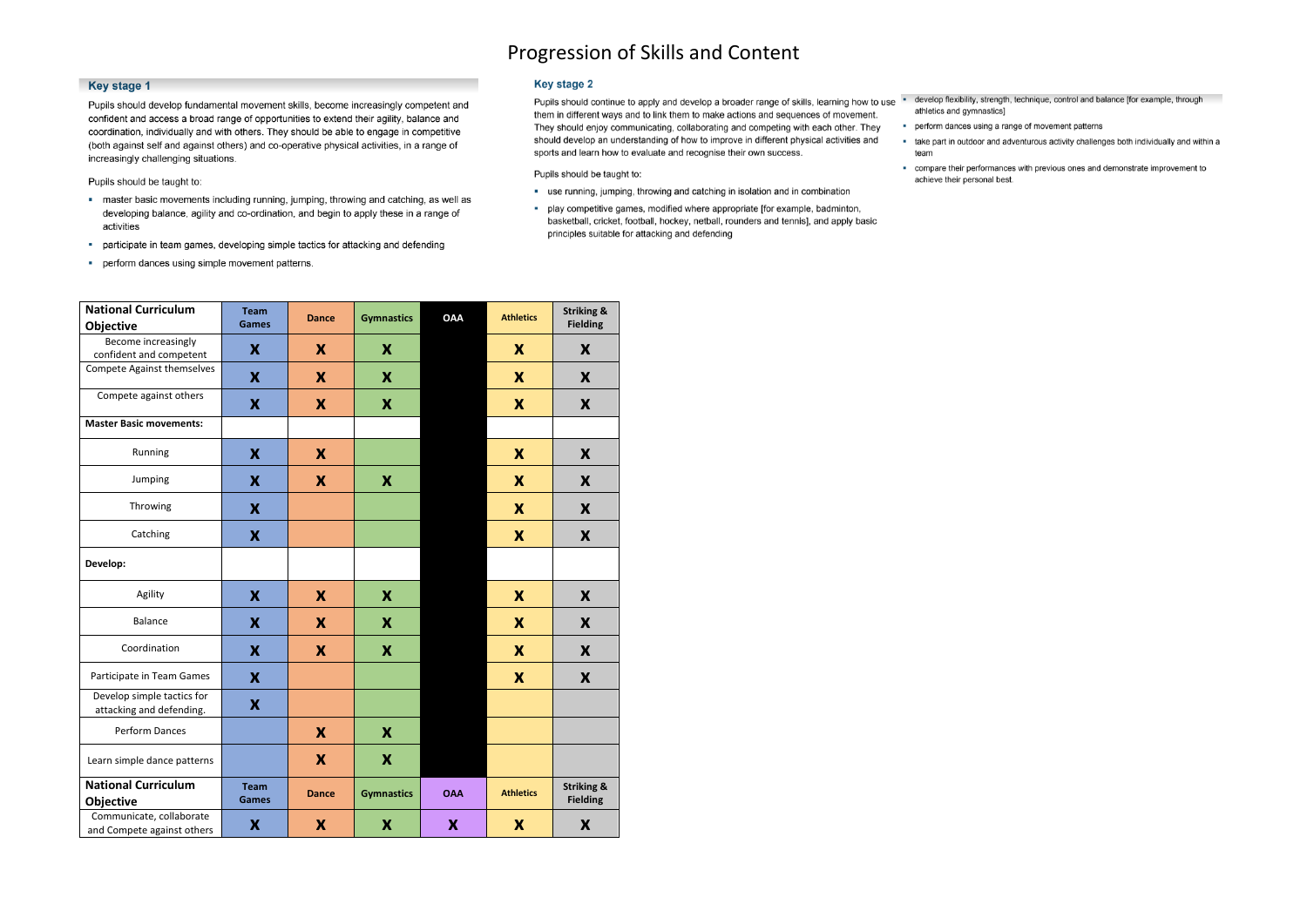#### Key stage 1

Pupils should develop fundamental movement skills, become increasingly competent and confident and access a broad range of opportunities to extend their agility, balance and coordination, individually and with others. They should be able to engage in competitive (both against self and against others) and co-operative physical activities, in a range of increasingly challenging situations.

Pupils should be taught to:

- " master basic movements including running, jumping, throwing and catching, as well as developing balance, agility and co-ordination, and begin to apply these in a range of activities
- " participate in team games, developing simple tactics for attacking and defending
- perform dances using simple movement patterns.

### Progression of Skills and Content

#### **Key stage 2**

them in different ways and to link them to make actions and sequences of movement. They should enjoy communicating, collaborating and competing with each other. They should develop an understanding of how to improve in different physical activities and sports and learn how to evaluate and recognise their own success.

Pupils should be taught to:

- " use running, jumping, throwing and catching in isolation and in combination
- " play competitive games, modified where appropriate [for example, badminton, basketball, cricket, football, hockey, netball, rounders and tennis], and apply basic principles suitable for attacking and defending

Pupils should continue to apply and develop a broader range of skills, learning how to use " develop flexibility, strength, technique, control and balance [for example, through | expansive] athletics and gymnastics]

- 
- team
- achieve their personal best.

| <b>National Curriculum</b><br><b>Objective</b>         | <b>Team</b><br><b>Games</b> | <b>Dance</b> | <b>Gymnastics</b> | <b>OAA</b> | <b>Athletics</b> | <b>Striking &amp;</b><br><b>Fielding</b> |
|--------------------------------------------------------|-----------------------------|--------------|-------------------|------------|------------------|------------------------------------------|
| Become increasingly                                    | X                           | X            | X                 |            | X                | X                                        |
| confident and competent                                |                             |              |                   |            |                  |                                          |
| <b>Compete Against themselves</b>                      | X                           | X            | X                 |            | X                | X                                        |
| Compete against others                                 | X                           | X            | X                 |            | X                | X                                        |
| <b>Master Basic movements:</b>                         |                             |              |                   |            |                  |                                          |
| Running                                                | X                           | X            |                   |            | X                | X                                        |
| Jumping                                                | X                           | X            | X                 |            | X                | X                                        |
| Throwing                                               | X                           |              |                   |            | X                | X                                        |
| Catching                                               | X                           |              |                   |            | X                | X                                        |
| Develop:                                               |                             |              |                   |            |                  |                                          |
| Agility                                                | X                           | X            | X                 |            | X                | X                                        |
| <b>Balance</b>                                         | X                           | X            | X                 |            | X                | X                                        |
| Coordination                                           | X                           | X            | X                 |            | X                | X                                        |
| Participate in Team Games                              | X                           |              |                   |            | X                | X                                        |
| Develop simple tactics for<br>attacking and defending. | X                           |              |                   |            |                  |                                          |
| Perform Dances                                         |                             | X            | X                 |            |                  |                                          |
| Learn simple dance patterns                            |                             | X            | X                 |            |                  |                                          |
| <b>National Curriculum</b>                             | <b>Team</b>                 |              |                   |            |                  | <b>Striking &amp;</b>                    |
| Objective                                              | <b>Games</b>                | <b>Dance</b> | <b>Gymnastics</b> | <b>OAA</b> | <b>Athletics</b> | <b>Fielding</b>                          |
| Communicate, collaborate<br>and Compete against others | X                           | X            | X                 | X          | X                | X                                        |

• perform dances using a range of movement patterns

\* take part in outdoor and adventurous activity challenges both individually and within a

" compare their performances with previous ones and demonstrate improvement to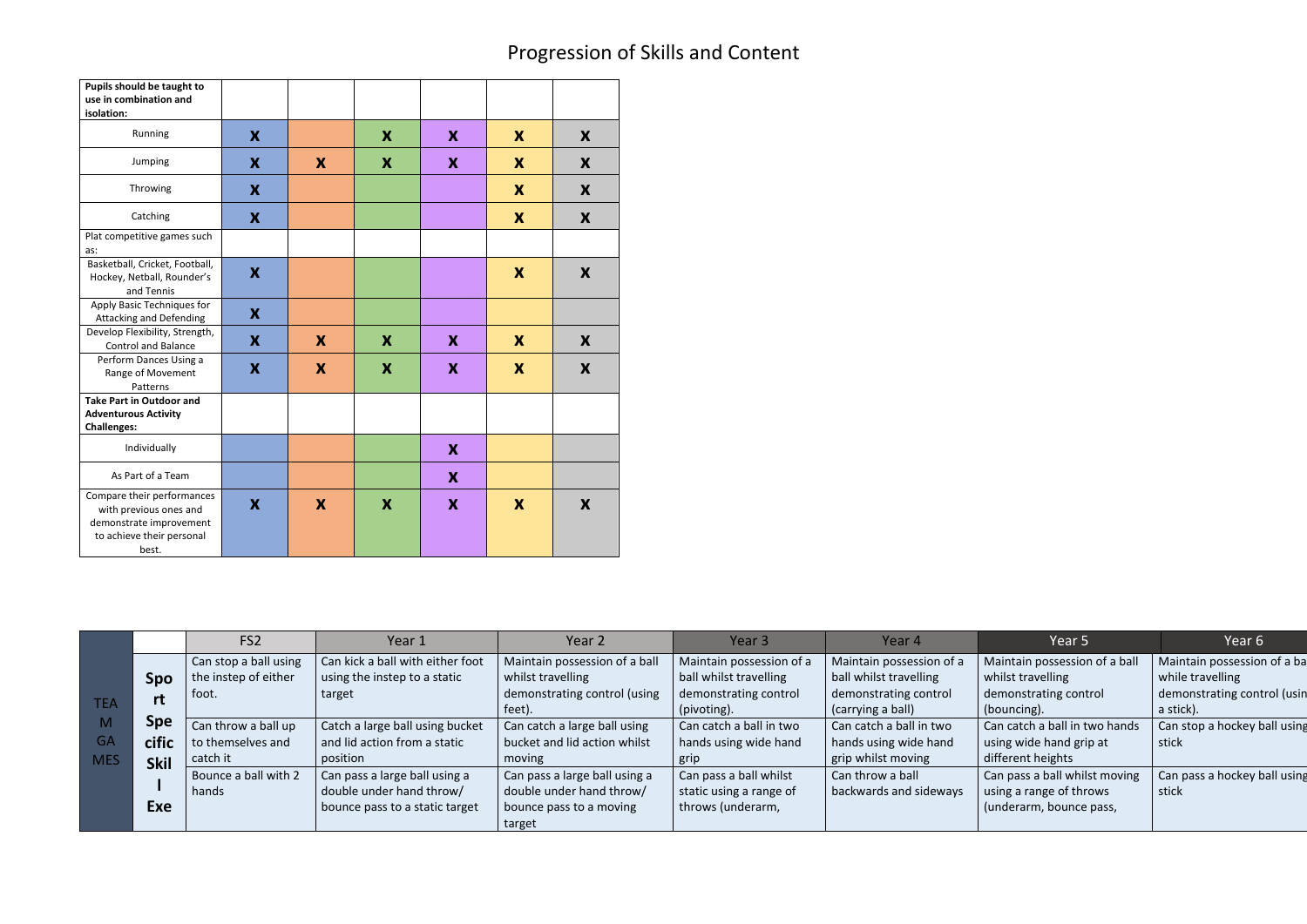| Pupils should be taught to<br>use in combination and<br>isolation:                                                    |   |   |   |   |   |   |
|-----------------------------------------------------------------------------------------------------------------------|---|---|---|---|---|---|
| Running                                                                                                               | X |   | X | X | X | X |
| Jumping                                                                                                               | X | X | X | X | X | X |
| Throwing                                                                                                              | X |   |   |   | X | X |
| Catching                                                                                                              | X |   |   |   | X | X |
| Plat competitive games such<br>as:                                                                                    |   |   |   |   |   |   |
| Basketball, Cricket, Football,<br>Hockey, Netball, Rounder's<br>and Tennis                                            | X |   |   |   | X | X |
| Apply Basic Techniques for<br><b>Attacking and Defending</b>                                                          | X |   |   |   |   |   |
| Develop Flexibility, Strength,<br><b>Control and Balance</b>                                                          | X | X | X | X | X | X |
| Perform Dances Using a<br>Range of Movement<br>Patterns                                                               | X | X | X | X | X | X |
| <b>Take Part in Outdoor and</b><br><b>Adventurous Activity</b><br><b>Challenges:</b>                                  |   |   |   |   |   |   |
| Individually                                                                                                          |   |   |   | X |   |   |
| As Part of a Team                                                                                                     |   |   |   | X |   |   |
| Compare their performances<br>with previous ones and<br>demonstrate improvement<br>to achieve their personal<br>best. | X | X | X | X | X | X |

|            |             | FS <sub>2</sub>       | Year 1                           | Year 2                        | Year <sub>3</sub>        | Year 4                   | Year 5                        | Year 6                       |
|------------|-------------|-----------------------|----------------------------------|-------------------------------|--------------------------|--------------------------|-------------------------------|------------------------------|
|            |             | Can stop a ball using | Can kick a ball with either foot | Maintain possession of a ball | Maintain possession of a | Maintain possession of a | Maintain possession of a ball | Maintain possession of a ba  |
|            | <b>Spo</b>  | the instep of either  | using the instep to a static     | whilst travelling             | ball whilst travelling   | ball whilst travelling   | whilst travelling             | while travelling             |
|            | rt          | foot.                 | target                           | demonstrating control (using  | demonstrating control    | demonstrating control    | demonstrating control         | demonstrating control (usin  |
| <b>TEA</b> |             |                       |                                  | feet).                        | (pivoting).              | (carrying a ball)        | (bouncing).                   | a stick).                    |
| <b>GA</b>  | <b>Spe</b>  | Can throw a ball up   | Catch a large ball using bucket  | Can catch a large ball using  | Can catch a ball in two  | Can catch a ball in two  | Can catch a ball in two hands | Can stop a hockey ball using |
|            | cific       | to themselves and     | and lid action from a static     | bucket and lid action whilst  | hands using wide hand    | hands using wide hand    | using wide hand grip at       | stick                        |
| <b>MES</b> | <b>Skil</b> | catch it              | position                         | moving                        | grip                     | grip whilst moving       | different heights             |                              |
|            |             | Bounce a ball with 2  | Can pass a large ball using a    | Can pass a large ball using a | Can pass a ball whilst   | Can throw a ball         | Can pass a ball whilst moving | Can pass a hockey ball using |
|            |             | hands                 | double under hand throw/         | double under hand throw/      | static using a range of  | backwards and sideways   | using a range of throws       | stick                        |
|            | Exe         |                       | bounce pass to a static target   | bounce pass to a moving       | throws (underarm,        |                          | (underarm, bounce pass,       |                              |
|            |             |                       |                                  | target                        |                          |                          |                               |                              |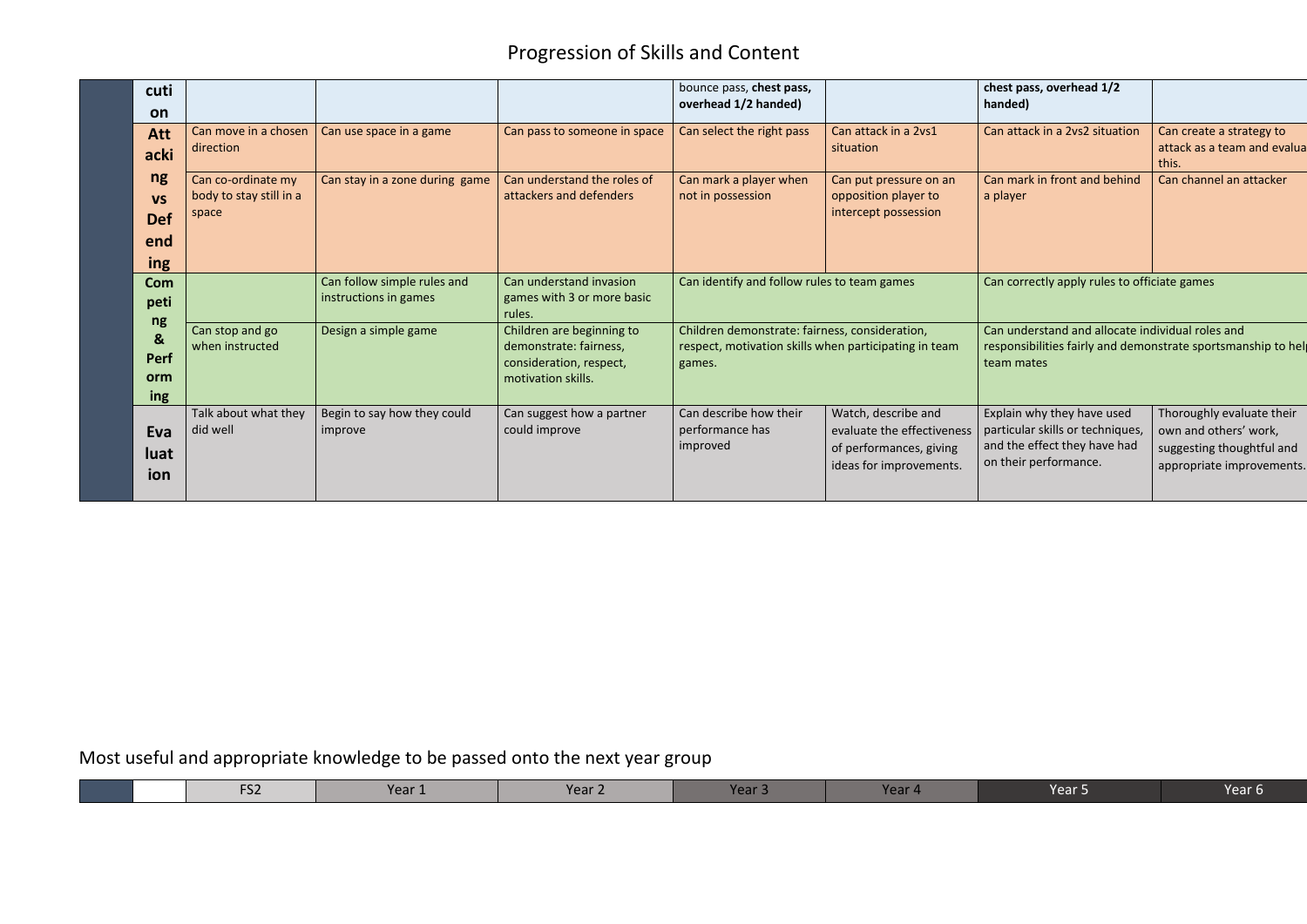| cuti<br>on                                   |                                                        |                                                      |                                                                                                      | bounce pass, chest pass,<br>overhead 1/2 handed)                                                                  |                                                                                                         | chest pass, overhead 1/2<br>handed)                                                                                             |                                                                                                              |
|----------------------------------------------|--------------------------------------------------------|------------------------------------------------------|------------------------------------------------------------------------------------------------------|-------------------------------------------------------------------------------------------------------------------|---------------------------------------------------------------------------------------------------------|---------------------------------------------------------------------------------------------------------------------------------|--------------------------------------------------------------------------------------------------------------|
| <b>Att</b><br>acki                           | Can move in a chosen<br>direction                      | Can use space in a game                              | Can pass to someone in space                                                                         | Can select the right pass                                                                                         | Can attack in a 2vs1<br>situation                                                                       | Can attack in a 2vs2 situation                                                                                                  | Can create a strategy to<br>attack as a team and evalual<br>this.                                            |
| ng<br><b>VS</b><br><b>Def</b><br>end<br>ing  | Can co-ordinate my<br>body to stay still in a<br>space | Can stay in a zone during game                       | Can understand the roles of<br>attackers and defenders                                               | Can mark a player when<br>not in possession                                                                       | Can put pressure on an<br>opposition player to<br>intercept possession                                  | Can mark in front and behind<br>a player                                                                                        | Can channel an attacker                                                                                      |
| <b>Com</b><br>peti                           |                                                        | Can follow simple rules and<br>instructions in games | Can understand invasion<br>games with 3 or more basic<br>rules.                                      | Can identify and follow rules to team games                                                                       |                                                                                                         | Can correctly apply rules to officiate games                                                                                    |                                                                                                              |
| ng<br>$\boldsymbol{8}$<br>Perf<br>orm<br>ing | Can stop and go<br>when instructed                     | Design a simple game                                 | Children are beginning to<br>demonstrate: fairness,<br>consideration, respect,<br>motivation skills. | Children demonstrate: fairness, consideration,<br>respect, motivation skills when participating in team<br>games. |                                                                                                         | Can understand and allocate individual roles and<br>responsibilities fairly and demonstrate sportsmanship to help<br>team mates |                                                                                                              |
| Eva<br><b>luat</b><br>ion                    | Talk about what they<br>did well                       | Begin to say how they could<br>improve               | Can suggest how a partner<br>could improve                                                           | Can describe how their<br>performance has<br>improved                                                             | Watch, describe and<br>evaluate the effectiveness<br>of performances, giving<br>ideas for improvements. | Explain why they have used<br>particular skills or techniques,<br>and the effect they have had<br>on their performance.         | Thoroughly evaluate their<br>own and others' work,<br>suggesting thoughtful and<br>appropriate improvements. |

| Yeah<br>Year.<br>Year 5<br>rear (<br>vear.<br>Edl <sup>1</sup><br>ਾ ੨੦. |
|-------------------------------------------------------------------------|
|-------------------------------------------------------------------------|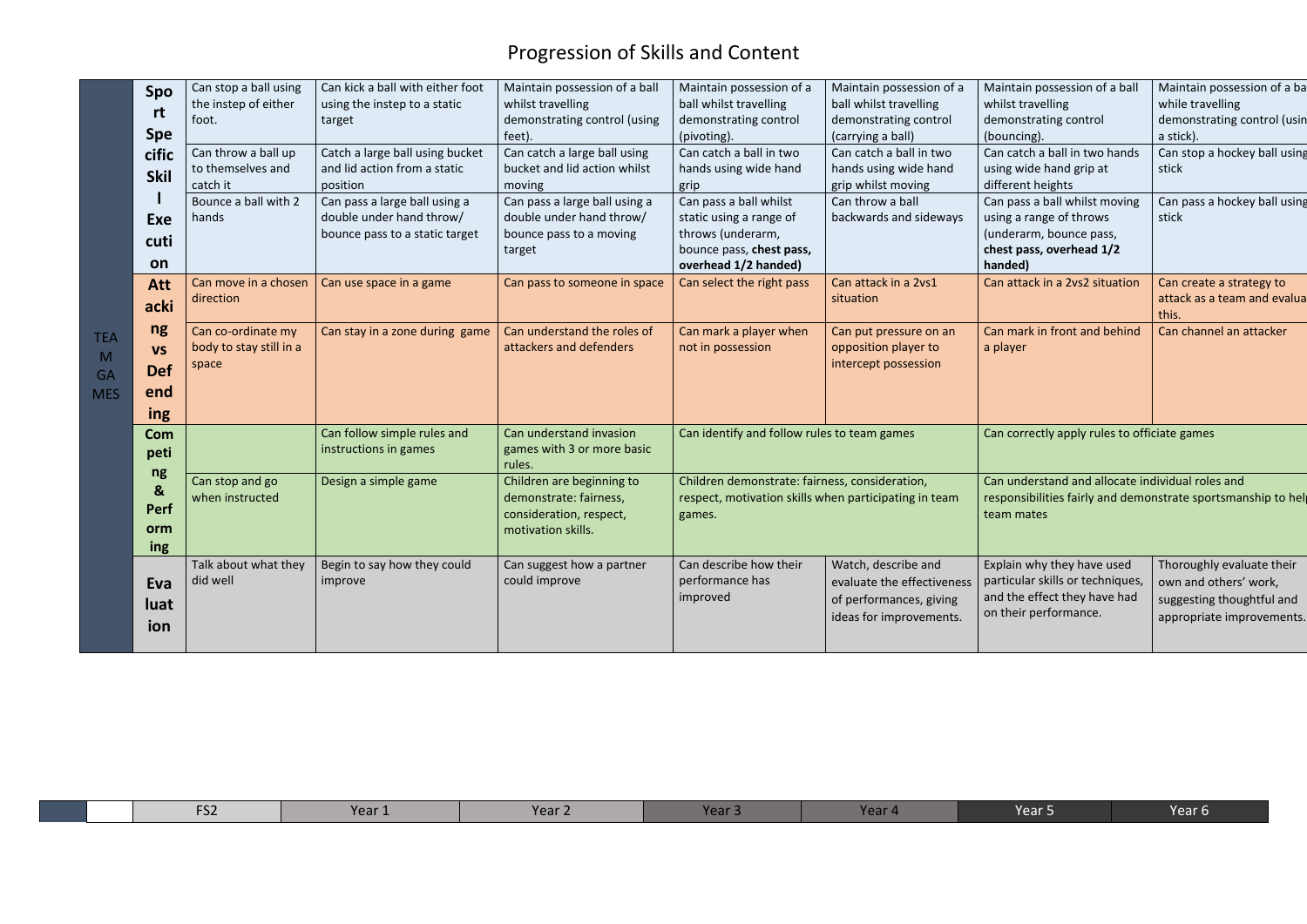| <b>TEA</b>                   | <b>Spo</b><br>rt<br><b>Spe</b><br><b>cific</b><br><b>Skil</b><br>Exe<br>cuti<br>on<br><b>Att</b><br>acki<br>ng<br><b>VS</b> | Can stop a ball using<br>the instep of either<br>foot.<br>Can throw a ball up<br>to themselves and<br>catch it<br>Bounce a ball with 2<br>hands<br>Can move in a chosen<br>direction<br>Can co-ordinate my<br>body to stay still in a | Can kick a ball with either foot<br>using the instep to a static<br>target<br>Catch a large ball using bucket<br>and lid action from a static<br>position<br>Can pass a large ball using a<br>double under hand throw/<br>bounce pass to a static target<br>Can use space in a game<br>Can stay in a zone during game | Maintain possession of a ball<br>whilst travelling<br>demonstrating control (using<br>feet).<br>Can catch a large ball using<br>bucket and lid action whilst<br>moving<br>Can pass a large ball using a<br>double under hand throw/<br>bounce pass to a moving<br>target<br>Can pass to someone in space<br>Can understand the roles of<br>attackers and defenders | Maintain possession of a<br>ball whilst travelling<br>demonstrating control<br>(pivoting).<br>Can catch a ball in two<br>hands using wide hand<br>grip<br>Can pass a ball whilst<br>static using a range of<br>throws (underarm,<br>bounce pass, chest pass,<br>overhead 1/2 handed)<br>Can select the right pass<br>Can mark a player when<br>not in possession | Maintain possession of a<br>ball whilst travelling<br>demonstrating control<br>(carrying a ball)<br>Can catch a ball in two<br>hands using wide hand<br>grip whilst moving<br>Can throw a ball<br>backwards and sideways<br>Can attack in a 2vs1<br>situation<br>Can put pressure on an<br>opposition player to | Maintain possession of a ball<br>whilst travelling<br>demonstrating control<br>(bouncing).<br>Can catch a ball in two hands<br>using wide hand grip at<br>different heights<br>Can pass a ball whilst moving<br>using a range of throws<br>(underarm, bounce pass,<br>chest pass, overhead 1/2<br>handed)<br>Can attack in a 2vs2 situation<br>Can mark in front and behind<br>a player | Maintain possession of a ba<br>while travelling<br>demonstrating control (usin<br>a stick).<br>Can stop a hockey ball using<br>stick<br>Can pass a hockey ball using<br>stick<br>Can create a strategy to<br>attack as a team and evalual<br>this.<br>Can channel an attacker |
|------------------------------|-----------------------------------------------------------------------------------------------------------------------------|---------------------------------------------------------------------------------------------------------------------------------------------------------------------------------------------------------------------------------------|-----------------------------------------------------------------------------------------------------------------------------------------------------------------------------------------------------------------------------------------------------------------------------------------------------------------------|--------------------------------------------------------------------------------------------------------------------------------------------------------------------------------------------------------------------------------------------------------------------------------------------------------------------------------------------------------------------|------------------------------------------------------------------------------------------------------------------------------------------------------------------------------------------------------------------------------------------------------------------------------------------------------------------------------------------------------------------|-----------------------------------------------------------------------------------------------------------------------------------------------------------------------------------------------------------------------------------------------------------------------------------------------------------------|-----------------------------------------------------------------------------------------------------------------------------------------------------------------------------------------------------------------------------------------------------------------------------------------------------------------------------------------------------------------------------------------|-------------------------------------------------------------------------------------------------------------------------------------------------------------------------------------------------------------------------------------------------------------------------------|
| M<br><b>GA</b><br><b>MES</b> | <b>Def</b><br>end<br>ing<br>Com<br>peti<br>ng<br>$\mathbf{g}$<br>Perf<br>orm<br>ing<br>Eva<br>luat                          | space<br>Can stop and go<br>when instructed<br>did well                                                                                                                                                                               | Can follow simple rules and<br>instructions in games<br>Design a simple game<br>Talk about what they $\vert$ Begin to say how they could<br>  improve                                                                                                                                                                 | Can understand invasion<br>games with 3 or more basic<br>rules.<br>Children are beginning to<br>demonstrate: fairness,<br>consideration, respect,<br>motivation skills.<br>Can suggest how a partner<br>could improve                                                                                                                                              | Can identify and follow rules to team games<br>Children demonstrate: fairness, consideration,<br>respect, motivation skills when participating in team<br>games.<br>Can describe how their<br>performance has<br>improved                                                                                                                                        | intercept possession<br>Watch, describe and<br>evaluate the effectiveness<br>of performances, giving                                                                                                                                                                                                            | Can correctly apply rules to officiate games<br>Can understand and allocate individual roles and<br>responsibilities fairly and demonstrate sportsmanship to help<br>team mates<br>Explain why they have used<br>particular skills or techniques,<br>and the effect they have had<br>on their performance.                                                                              | Thoroughly evaluate their<br>own and others' work,<br>suggesting thoughtful and                                                                                                                                                                                               |
|                              | ion                                                                                                                         |                                                                                                                                                                                                                                       |                                                                                                                                                                                                                                                                                                                       |                                                                                                                                                                                                                                                                                                                                                                    |                                                                                                                                                                                                                                                                                                                                                                  | ideas for improvements.                                                                                                                                                                                                                                                                                         |                                                                                                                                                                                                                                                                                                                                                                                         | appropriate improvements.                                                                                                                                                                                                                                                     |

| $  \sim$<br>vear.<br>ear !<br>rear<br>rear t<br>- - - - |
|---------------------------------------------------------|
|---------------------------------------------------------|

| Explain why they have used       | Thoroughly evaluate their |
|----------------------------------|---------------------------|
| particular skills or techniques, | own and others' work,     |
| ind the effect they have had     | suggesting thoughtful and |
| on their performance.            | appropriate improvements. |
|                                  |                           |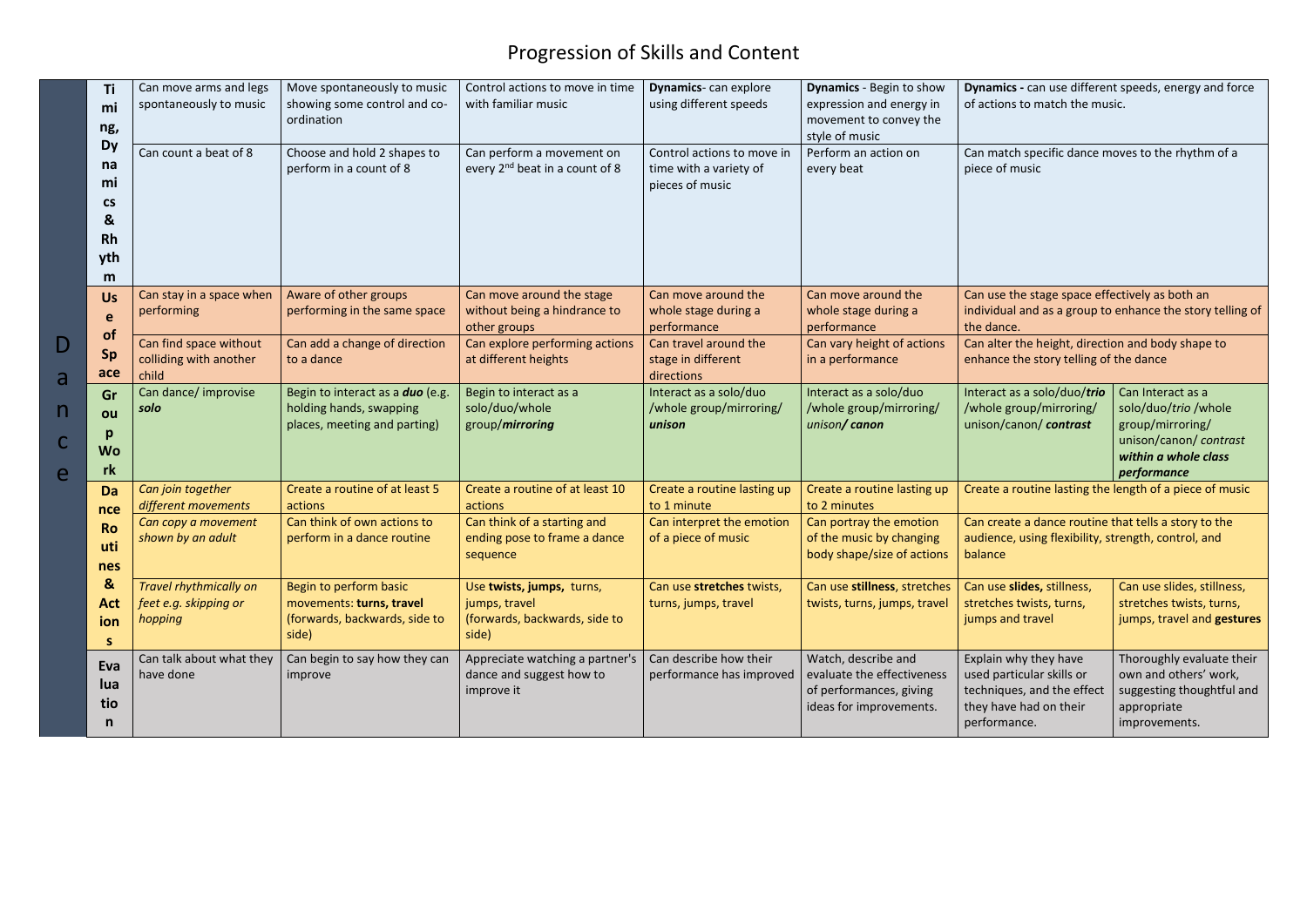|             | <b>Ti</b><br>mi<br>ng,                                           | Can move arms and legs<br>spontaneously to music           | Move spontaneously to music<br>showing some control and co-<br>ordination                    | Control actions to move in time<br>with familiar music                               | Dynamics- can explore<br>using different speeds                         | <b>Dynamics</b> - Begin to show<br>expression and energy in<br>movement to convey the<br>style of music | <b>Dyna</b><br>of ac                   |
|-------------|------------------------------------------------------------------|------------------------------------------------------------|----------------------------------------------------------------------------------------------|--------------------------------------------------------------------------------------|-------------------------------------------------------------------------|---------------------------------------------------------------------------------------------------------|----------------------------------------|
|             | <b>Dy</b><br>na<br>mi<br><b>CS</b><br>&<br><b>Rh</b><br>yth<br>m | Can count a beat of 8                                      | Choose and hold 2 shapes to<br>perform in a count of 8                                       | Can perform a movement on<br>every 2 <sup>nd</sup> beat in a count of 8              | Control actions to move in<br>time with a variety of<br>pieces of music | Perform an action on<br>every beat                                                                      | Can I<br>piece                         |
|             | <b>Us</b><br>e                                                   | Can stay in a space when<br>performing                     | Aware of other groups<br>performing in the same space                                        | Can move around the stage<br>without being a hindrance to<br>other groups            | Can move around the<br>whole stage during a<br>performance              | Can move around the<br>whole stage during a<br>performance                                              | Can I<br>indiv<br>the c                |
| $\Box$<br>a | of<br><b>Sp</b><br>ace                                           | Can find space without<br>colliding with another<br>child  | Can add a change of direction<br>to a dance                                                  | Can explore performing actions<br>at different heights                               | Can travel around the<br>stage in different<br>directions               | Can vary height of actions<br>in a performance                                                          | Can a<br>enha                          |
| n<br>C<br>e | Gr<br>ou<br>p<br><b>Wo</b><br>rk                                 | Can dance/ improvise<br>solo                               | Begin to interact as a duo (e.g.<br>holding hands, swapping<br>places, meeting and parting)  | Begin to interact as a<br>solo/duo/whole<br>group/mirroring                          | Interact as a solo/duo<br>/whole group/mirroring/<br>unison             | Interact as a solo/duo<br>/whole group/mirroring/<br>unison/canon                                       | Inter<br>/who<br>uniso                 |
|             | Da<br>nce                                                        | Can join together<br>different movements                   | Create a routine of at least 5<br>actions                                                    | Create a routine of at least 10<br>actions                                           | Create a routine lasting up<br>to 1 minute                              | Create a routine lasting up<br>to 2 minutes                                                             | Crea                                   |
|             | <b>Ro</b><br>uti<br>nes                                          | Can copy a movement<br>shown by an adult                   | Can think of own actions to<br>perform in a dance routine                                    | Can think of a starting and<br>ending pose to frame a dance<br>sequence              | Can interpret the emotion<br>of a piece of music                        | Can portray the emotion<br>of the music by changing<br>body shape/size of actions                       | Can<br>audi<br>balar                   |
|             | &<br><b>Act</b><br>ion<br>S                                      | Travel rhythmically on<br>feet e.g. skipping or<br>hopping | Begin to perform basic<br>movements: turns, travel<br>(forwards, backwards, side to<br>side) | Use twists, jumps, turns,<br>jumps, travel<br>(forwards, backwards, side to<br>side) | Can use stretches twists,<br>turns, jumps, travel                       | Can use stillness, stretches<br>twists, turns, jumps, travel                                            | Can I<br>stret<br>jump                 |
|             | Eva<br>lua<br>tio<br>n                                           | Can talk about what they<br>have done                      | Can begin to say how they can<br>improve                                                     | Appreciate watching a partner's<br>dance and suggest how to<br>improve it            | Can describe how their<br>performance has improved                      | Watch, describe and<br>evaluate the effectiveness<br>of performances, giving<br>ideas for improvements. | Expla<br>used<br>tech<br>they<br>perfo |

amics - can use different speeds, energy and force ctions to match the music. match specific dance moves to the rhythm of a e of music use the stage space effectively as both an ridual and as a group to enhance the story telling of dance. alter the height, direction and body shape to ance the story telling of the dance ract as a solo/duo/*trio* ole group/mirroring/ on/canon/ *contrast* Can Interact as a solo/duo/*trio* /whole group/mirroring/ unison/canon/ *contrast within a whole class performance* ate a routine lasting the length of a piece of music create a dance routine that tells a story to the ience, using flexibility, strength, control, and nce use **slides**, stillness, tches twists, turns, ps and travel Can use slides, stillness, stretches twists, turns, jumps, travel and **gestures** ain why they have I particular skills or niques, and the effect have had on their ormance. Thoroughly evaluate their own and others' work, suggesting thoughtful and appropriate improvements.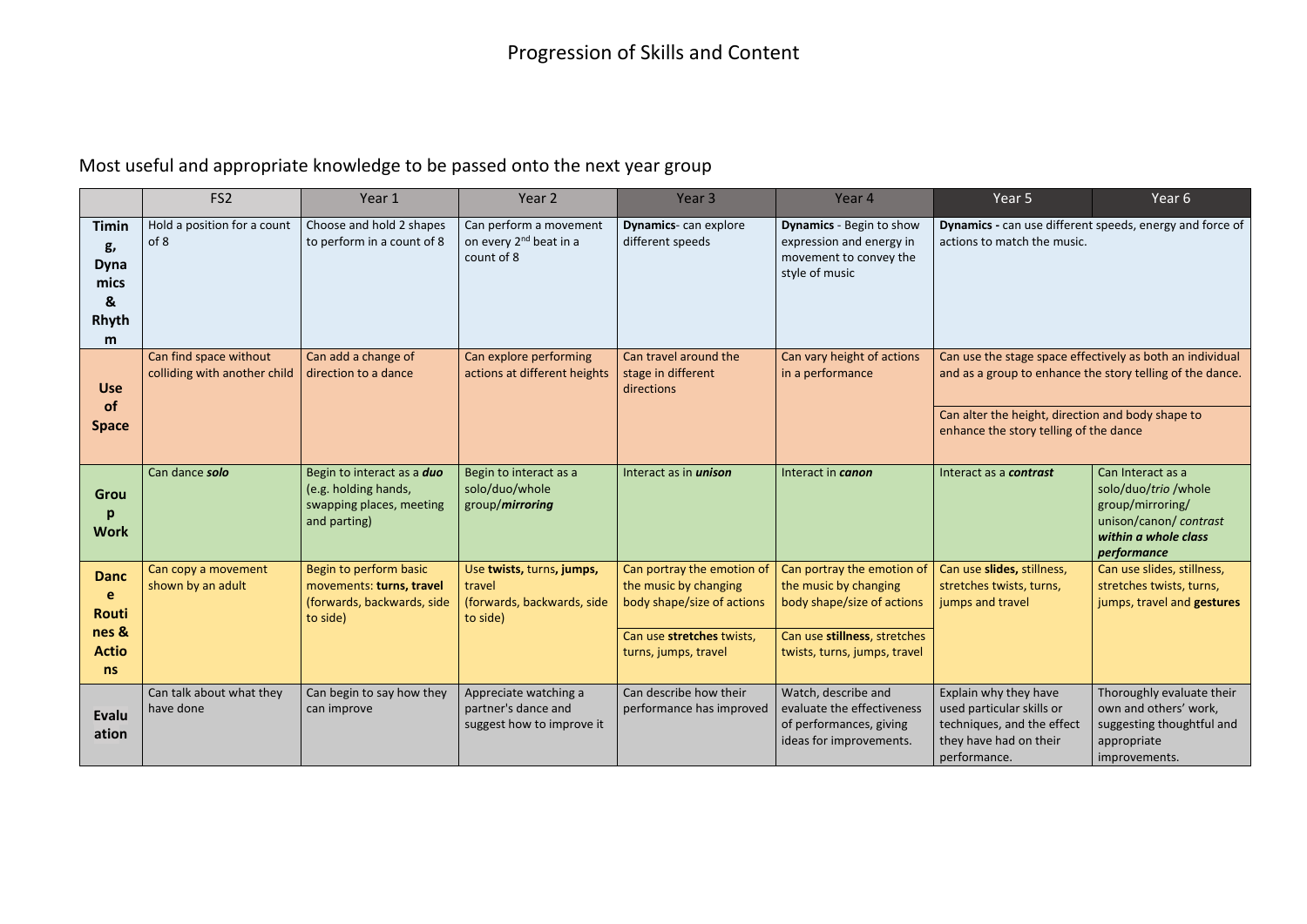|                                                              | FS <sub>2</sub>                                        | Year 1                                                                                         | Year 2                                                                        | Year <sub>3</sub>                                                                                                                      | Year 4                                                                                                                                            | Year 5                                                                                                                                                   | Year 6                                                                                                                         |
|--------------------------------------------------------------|--------------------------------------------------------|------------------------------------------------------------------------------------------------|-------------------------------------------------------------------------------|----------------------------------------------------------------------------------------------------------------------------------------|---------------------------------------------------------------------------------------------------------------------------------------------------|----------------------------------------------------------------------------------------------------------------------------------------------------------|--------------------------------------------------------------------------------------------------------------------------------|
| <b>Timin</b><br>g,<br><b>Dyna</b><br>mics<br>&<br>Rhyth<br>m | Hold a position for a count<br>of 8                    | Choose and hold 2 shapes<br>to perform in a count of 8                                         | Can perform a movement<br>on every 2 <sup>nd</sup> beat in a<br>count of 8    | Dynamics-can explore<br>different speeds                                                                                               | <b>Dynamics</b> - Begin to show<br>expression and energy in<br>movement to convey the<br>style of music                                           | actions to match the music.                                                                                                                              | Dynamics - can use different speeds, energy and force of                                                                       |
| <b>Use</b><br>of<br><b>Space</b>                             | Can find space without<br>colliding with another child | Can add a change of<br>direction to a dance                                                    | Can explore performing<br>actions at different heights                        | Can travel around the<br>stage in different<br>directions                                                                              | Can vary height of actions<br>in a performance                                                                                                    | and as a group to enhance the story telling of the dance.<br>Can alter the height, direction and body shape to<br>enhance the story telling of the dance | Can use the stage space effectively as both an individual                                                                      |
| Grou<br>р<br><b>Work</b>                                     | Can dance solo                                         | Begin to interact as a duo<br>(e.g. holding hands,<br>swapping places, meeting<br>and parting) | Begin to interact as a<br>solo/duo/whole<br>group/mirroring                   | Interact as in <i>unison</i>                                                                                                           | Interact in canon                                                                                                                                 | Interact as a contrast                                                                                                                                   | Can Interact as a<br>solo/duo/trio /whole<br>group/mirroring/<br>unison/canon/ contrast<br>within a whole class<br>performance |
| <b>Danc</b><br>e<br>Routi<br>nes &<br><b>Actio</b><br>ns     | Can copy a movement<br>shown by an adult               | Begin to perform basic<br>movements: turns, travel<br>(forwards, backwards, side<br>to side)   | Use twists, turns, jumps,<br>travel<br>(forwards, backwards, side<br>to side) | Can portray the emotion of<br>the music by changing<br>body shape/size of actions<br>Can use stretches twists,<br>turns, jumps, travel | Can portray the emotion of<br>the music by changing<br>body shape/size of actions<br>Can use stillness, stretches<br>twists, turns, jumps, travel | Can use slides, stillness,<br>stretches twists, turns,<br>jumps and travel                                                                               | Can use slides, stillness,<br>stretches twists, turns,<br>jumps, travel and gestures                                           |
| Evalu<br>ation                                               | Can talk about what they<br>have done                  | Can begin to say how they<br>can improve                                                       | Appreciate watching a<br>partner's dance and<br>suggest how to improve it     | Can describe how their<br>performance has improved                                                                                     | Watch, describe and<br>evaluate the effectiveness<br>of performances, giving<br>ideas for improvements.                                           | Explain why they have<br>used particular skills or<br>techniques, and the effect<br>they have had on their<br>performance.                               | Thoroughly evaluate their<br>own and others' work,<br>suggesting thoughtful and<br>appropriate<br>improvements.                |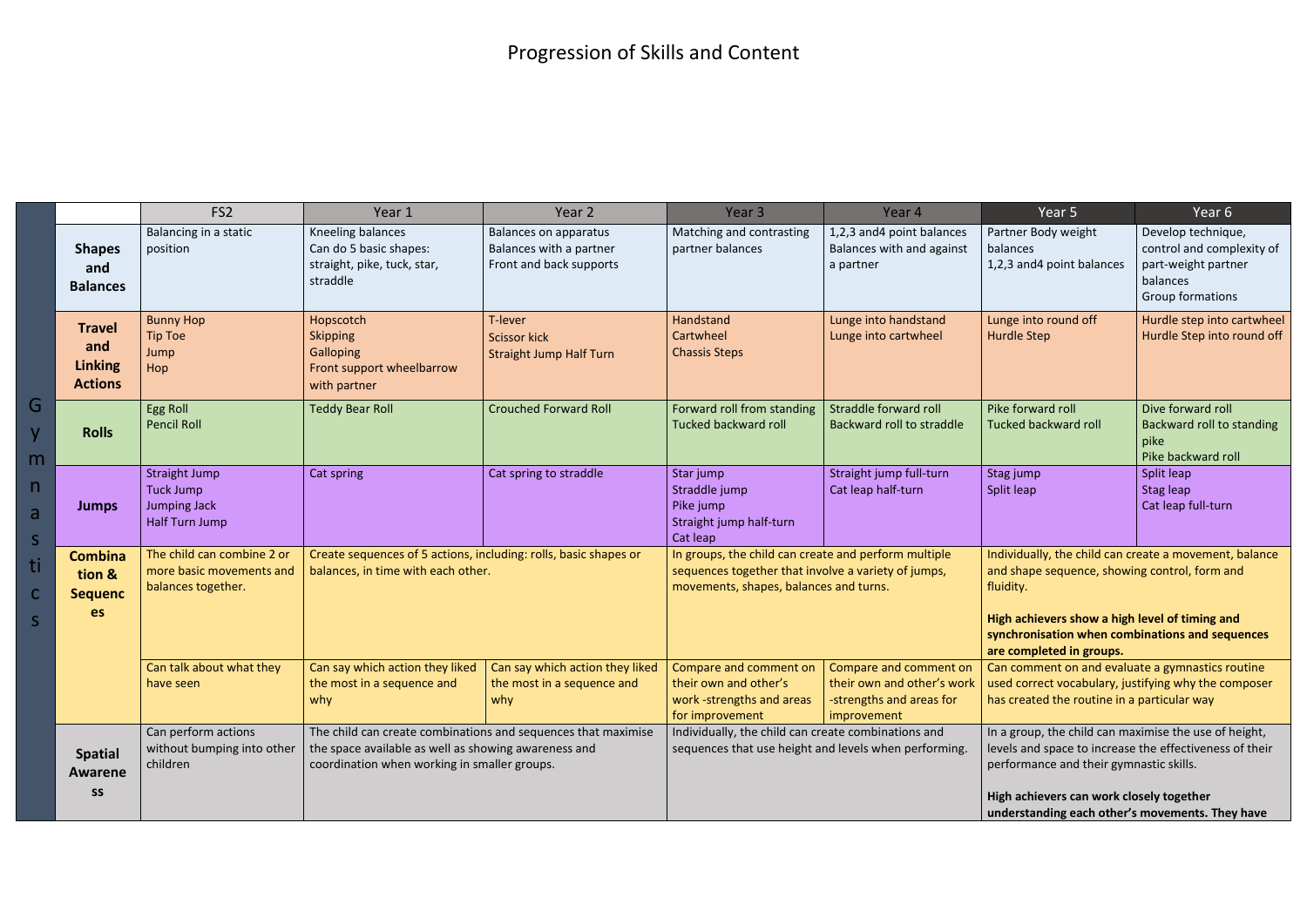|                                                                                    |                                                          | FS <sub>2</sub>                                                                   | Year 1                                                                                                                                                                | Year <sub>2</sub>                                                           | Year <sub>3</sub>                                                                                                                                     | Year 4                                                                                          | Year 5                                                                                                                                                                                                                                                | Year 6                                                                                                 |
|------------------------------------------------------------------------------------|----------------------------------------------------------|-----------------------------------------------------------------------------------|-----------------------------------------------------------------------------------------------------------------------------------------------------------------------|-----------------------------------------------------------------------------|-------------------------------------------------------------------------------------------------------------------------------------------------------|-------------------------------------------------------------------------------------------------|-------------------------------------------------------------------------------------------------------------------------------------------------------------------------------------------------------------------------------------------------------|--------------------------------------------------------------------------------------------------------|
|                                                                                    | <b>Shapes</b><br>and<br><b>Balances</b>                  | Balancing in a static<br>position                                                 | Kneeling balances<br>Can do 5 basic shapes:<br>straight, pike, tuck, star,<br>straddle                                                                                | Balances on apparatus<br>Balances with a partner<br>Front and back supports | Matching and contrasting<br>partner balances                                                                                                          | 1,2,3 and4 point balances<br>Balances with and against<br>a partner                             | Partner Body weight<br>balances<br>1,2,3 and4 point balances                                                                                                                                                                                          | Develop technique,<br>control and complexity of<br>part-weight partner<br>balances<br>Group formations |
|                                                                                    | <b>Travel</b><br>and<br><b>Linking</b><br><b>Actions</b> | <b>Bunny Hop</b><br><b>Tip Toe</b><br>Jump<br>Hop                                 | Hopscotch<br><b>Skipping</b><br>Galloping<br>Front support wheelbarrow<br>with partner                                                                                | T-lever<br><b>Scissor kick</b><br><b>Straight Jump Half Turn</b>            | Handstand<br>Cartwheel<br><b>Chassis Steps</b>                                                                                                        | Lunge into handstand<br>Lunge into cartwheel                                                    | Lunge into round off<br><b>Hurdle Step</b>                                                                                                                                                                                                            | Hurdle step into cartwheel<br>Hurdle Step into round off                                               |
| G<br>y<br>m                                                                        | <b>Rolls</b>                                             | Egg Roll<br><b>Pencil Roll</b>                                                    | <b>Teddy Bear Roll</b>                                                                                                                                                | <b>Crouched Forward Roll</b>                                                | Forward roll from standing<br><b>Tucked backward roll</b>                                                                                             | <b>Straddle forward roll</b><br><b>Backward roll to straddle</b>                                | Pike forward roll<br><b>Tucked backward roll</b>                                                                                                                                                                                                      | Dive forward roll<br>Backward roll to standing<br>pike<br>Pike backward roll                           |
| n<br>$\overline{a}$                                                                | <b>Jumps</b>                                             | <b>Straight Jump</b><br><b>Tuck Jump</b><br><b>Jumping Jack</b><br>Half Turn Jump | Cat spring                                                                                                                                                            | Cat spring to straddle                                                      | Star jump<br>Straddle jump<br>Pike jump<br>Straight jump half-turn<br>Cat leap                                                                        | Straight jump full-turn<br>Cat leap half-turn                                                   | Stag jump<br>Split leap                                                                                                                                                                                                                               | Split leap<br>Stag leap<br>Cat leap full-turn                                                          |
| S<br><b>Combina</b><br>ti<br>tion &<br>$\overline{C}$<br><b>Sequenc</b><br>es<br>S |                                                          | The child can combine 2 or<br>more basic movements and<br>balances together.      | Create sequences of 5 actions, including: rolls, basic shapes or<br>balances, in time with each other.                                                                |                                                                             | In groups, the child can create and perform multiple<br>sequences together that involve a variety of jumps,<br>movements, shapes, balances and turns. |                                                                                                 | Individually, the child can create a movement, balance<br>and shape sequence, showing control, form and<br>fluidity.<br>High achievers show a high level of timing and<br>synchronisation when combinations and sequences<br>are completed in groups. |                                                                                                        |
|                                                                                    |                                                          | Can talk about what they<br>have seen                                             | Can say which action they liked<br>the most in a sequence and<br>why                                                                                                  | Can say which action they liked<br>the most in a sequence and<br>why        | Compare and comment on<br>their own and other's<br>work-strengths and areas<br>for improvement                                                        | Compare and comment on<br>their own and other's work<br>-strengths and areas for<br>improvement | Can comment on and evaluate a gymnastics routine<br>used correct vocabulary, justifying why the composer<br>has created the routine in a particular way                                                                                               |                                                                                                        |
|                                                                                    | <b>Spatial</b><br><b>Awarene</b>                         | Can perform actions<br>without bumping into other<br>children                     | The child can create combinations and sequences that maximise<br>the space available as well as showing awareness and<br>coordination when working in smaller groups. |                                                                             | Individually, the child can create combinations and<br>sequences that use height and levels when performing.                                          |                                                                                                 | In a group, the child can maximise the use of height,<br>levels and space to increase the effectiveness of their<br>performance and their gymnastic skills.                                                                                           |                                                                                                        |
|                                                                                    | SS                                                       |                                                                                   |                                                                                                                                                                       |                                                                             |                                                                                                                                                       | High achievers can work closely together                                                        | understanding each other's movements. They have                                                                                                                                                                                                       |                                                                                                        |

# **understanding each other's movements. They have**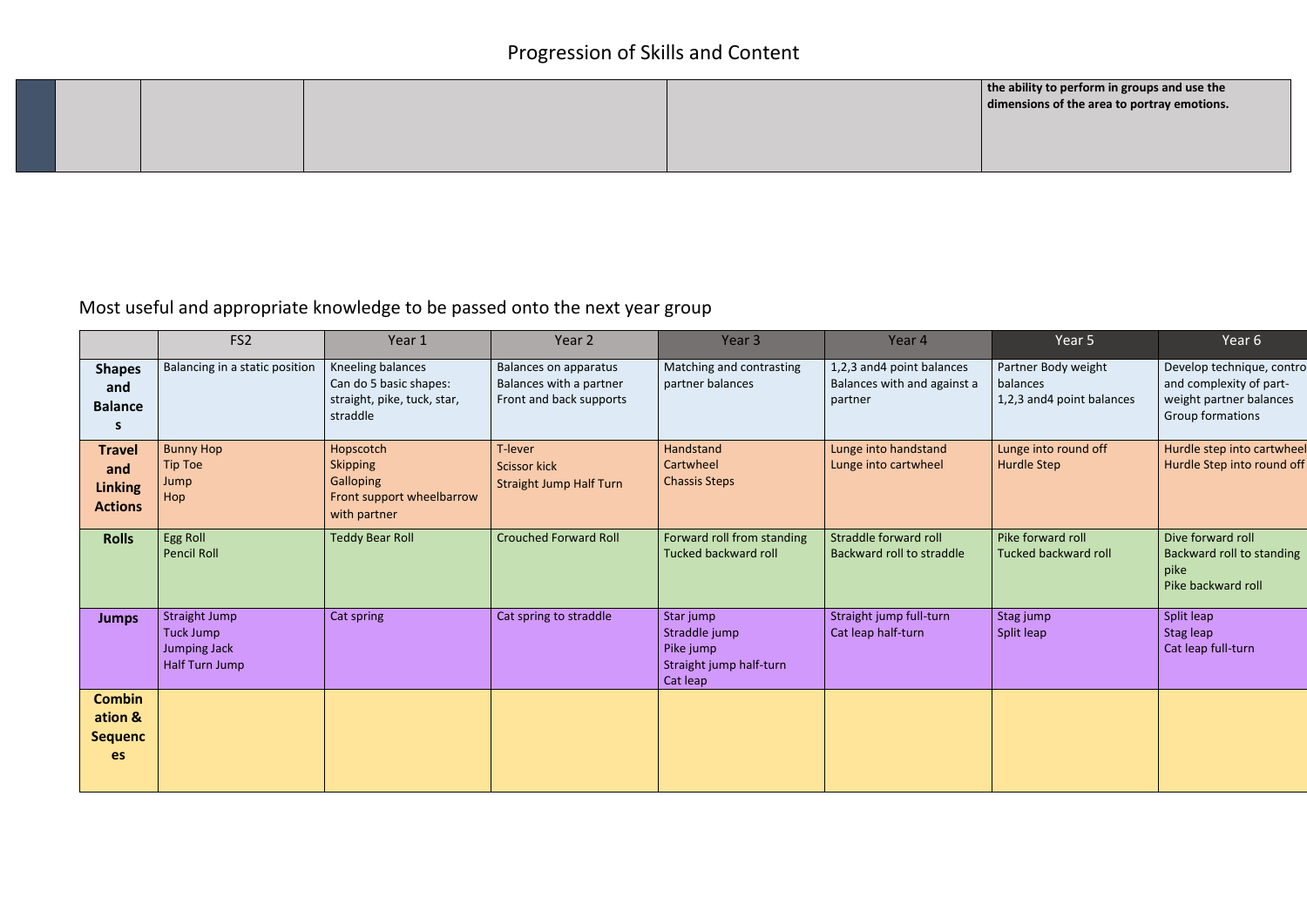### **the ability to perform in groups and use the dimensions of the area to portray emotions.**

|                                                          | FS <sub>2</sub>                                                            | Year 1                                                                                 | Year 2                                                                      | Year <sub>3</sub>                                                              | Year 4                                                              | Year 5                                                       | Year 6                                                                                              |
|----------------------------------------------------------|----------------------------------------------------------------------------|----------------------------------------------------------------------------------------|-----------------------------------------------------------------------------|--------------------------------------------------------------------------------|---------------------------------------------------------------------|--------------------------------------------------------------|-----------------------------------------------------------------------------------------------------|
| <b>Shapes</b><br>and<br><b>Balance</b><br>S.             | Balancing in a static position                                             | Kneeling balances<br>Can do 5 basic shapes:<br>straight, pike, tuck, star,<br>straddle | Balances on apparatus<br>Balances with a partner<br>Front and back supports | Matching and contrasting<br>partner balances                                   | 1,2,3 and4 point balances<br>Balances with and against a<br>partner | Partner Body weight<br>balances<br>1,2,3 and4 point balances | Develop technique, contro<br>and complexity of part-<br>weight partner balances<br>Group formations |
| <b>Travel</b><br>and<br><b>Linking</b><br><b>Actions</b> | <b>Bunny Hop</b><br><b>Tip Toe</b><br>Jump<br>Hop                          | Hopscotch<br>Skipping<br><b>Galloping</b><br>Front support wheelbarrow<br>with partner | T-lever<br><b>Scissor kick</b><br><b>Straight Jump Half Turn</b>            | Handstand<br>Cartwheel<br><b>Chassis Steps</b>                                 | Lunge into handstand<br>Lunge into cartwheel                        | Lunge into round off<br><b>Hurdle Step</b>                   | Hurdle step into cartwheel<br>Hurdle Step into round off                                            |
| <b>Rolls</b>                                             | Egg Roll<br><b>Pencil Roll</b>                                             | <b>Teddy Bear Roll</b>                                                                 | <b>Crouched Forward Roll</b>                                                | Forward roll from standing<br>Tucked backward roll                             | Straddle forward roll<br>Backward roll to straddle                  | Pike forward roll<br><b>Tucked backward roll</b>             | Dive forward roll<br>Backward roll to standing<br>pike<br>Pike backward roll                        |
| <b>Jumps</b>                                             | <b>Straight Jump</b><br><b>Tuck Jump</b><br>Jumping Jack<br>Half Turn Jump | Cat spring                                                                             | Cat spring to straddle                                                      | Star jump<br>Straddle jump<br>Pike jump<br>Straight jump half-turn<br>Cat leap | Straight jump full-turn<br>Cat leap half-turn                       | Stag jump<br>Split leap                                      | Split leap<br>Stag leap<br>Cat leap full-turn                                                       |
| <b>Combin</b><br>ation &<br><b>Sequenc</b><br>es         |                                                                            |                                                                                        |                                                                             |                                                                                |                                                                     |                                                              |                                                                                                     |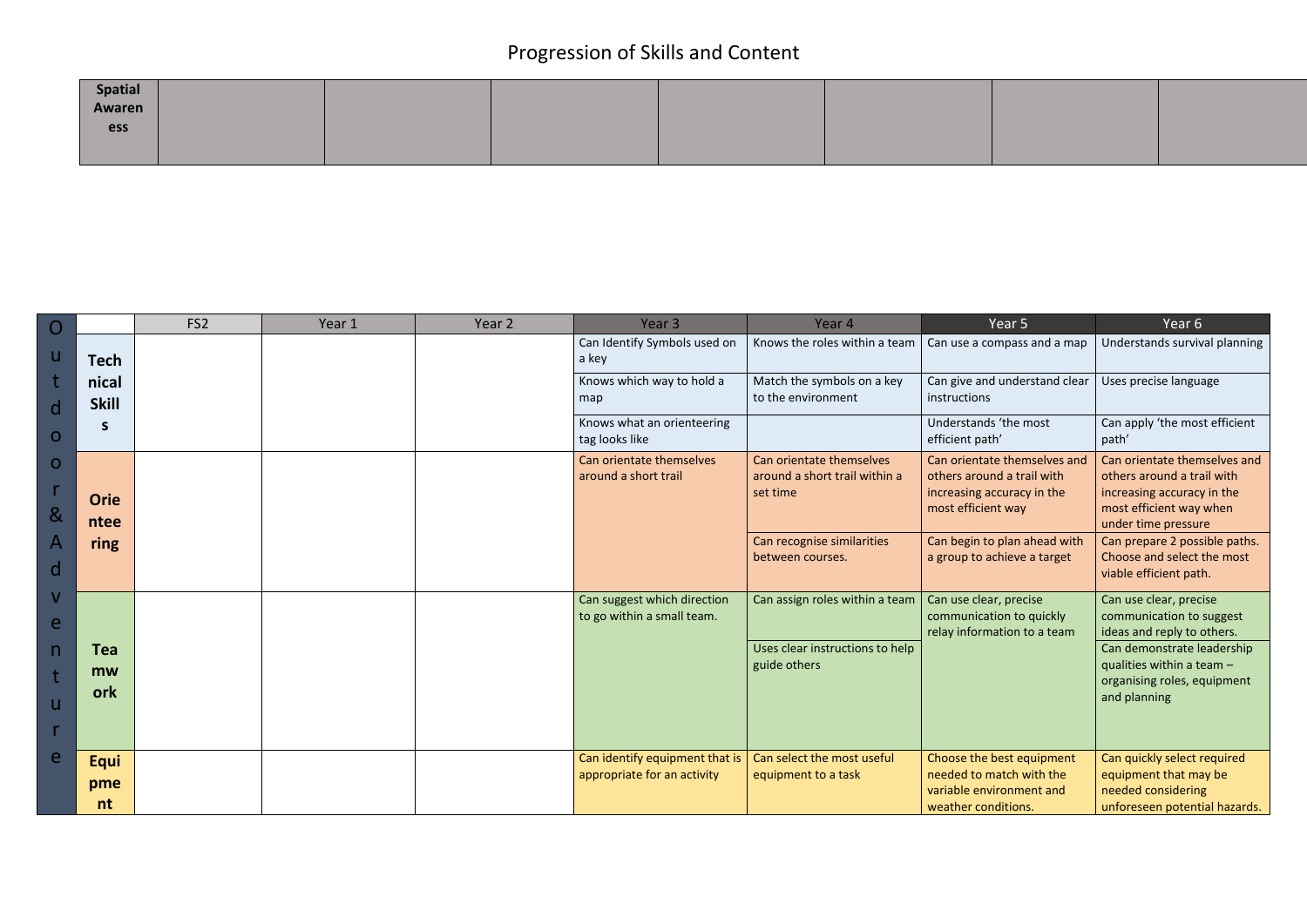| Spatial<br>Awaren |  |  |  |  |
|-------------------|--|--|--|--|
| ess               |  |  |  |  |
|                   |  |  |  |  |

| $\overline{O}$                                 |                          | FS <sub>2</sub> | Year 1 | Year 2 | Year <sub>3</sub>                                             | Year 4                                                                | Year 5                                                                                                         | Year 6                                                                                                                                     |
|------------------------------------------------|--------------------------|-----------------|--------|--------|---------------------------------------------------------------|-----------------------------------------------------------------------|----------------------------------------------------------------------------------------------------------------|--------------------------------------------------------------------------------------------------------------------------------------------|
| $\mathsf{u}$                                   | <b>Tech</b>              |                 |        |        | Can Identify Symbols used on<br>a key                         | Knows the roles within a team                                         | Can use a compass and a map                                                                                    | Understands survival planning                                                                                                              |
| $\mathsf{d}$                                   | nical<br><b>Skill</b>    |                 |        |        | Knows which way to hold a<br>map                              | Match the symbols on a key<br>to the environment                      | Can give and understand clear<br>instructions                                                                  | Uses precise language                                                                                                                      |
| $\mathbf O$                                    | <b>S</b>                 |                 |        |        | Knows what an orienteering<br>tag looks like                  |                                                                       | Understands 'the most<br>efficient path'                                                                       | Can apply 'the most efficient<br>path'                                                                                                     |
| $\mathbf{O}$<br>$\mathsf{r}$<br>$\overline{8}$ | <b>Orie</b><br>ntee      |                 |        |        | Can orientate themselves<br>around a short trail              | Can orientate themselves<br>around a short trail within a<br>set time | Can orientate themselves and<br>others around a trail with<br>increasing accuracy in the<br>most efficient way | Can orientate themselves and<br>others around a trail with<br>increasing accuracy in the<br>most efficient way when<br>under time pressure |
| A<br>$\mathsf{d}$                              | ring                     |                 |        |        |                                                               | Can recognise similarities<br>between courses.                        | Can begin to plan ahead with<br>a group to achieve a target                                                    | Can prepare 2 possible paths.<br>Choose and select the most<br>viable efficient path.                                                      |
| $\overline{\mathsf{V}}$<br>e                   |                          |                 |        |        | Can suggest which direction<br>to go within a small team.     | Can assign roles within a team                                        | Can use clear, precise<br>communication to quickly<br>relay information to a team                              | Can use clear, precise<br>communication to suggest<br>ideas and reply to others.                                                           |
| n<br>$\mathsf{u}$                              | <b>Tea</b><br>mw<br>ork  |                 |        |        |                                                               | Uses clear instructions to help<br>guide others                       |                                                                                                                | Can demonstrate leadership<br>qualities within a team $-$<br>organising roles, equipment<br>and planning                                   |
| e                                              | <b>Equi</b><br>pme<br>nt |                 |        |        | Can identify equipment that is<br>appropriate for an activity | Can select the most useful<br>equipment to a task                     | Choose the best equipment<br>needed to match with the<br>variable environment and<br>weather conditions.       | Can quickly select required<br>equipment that may be<br>needed considering<br>unforeseen potential hazards.                                |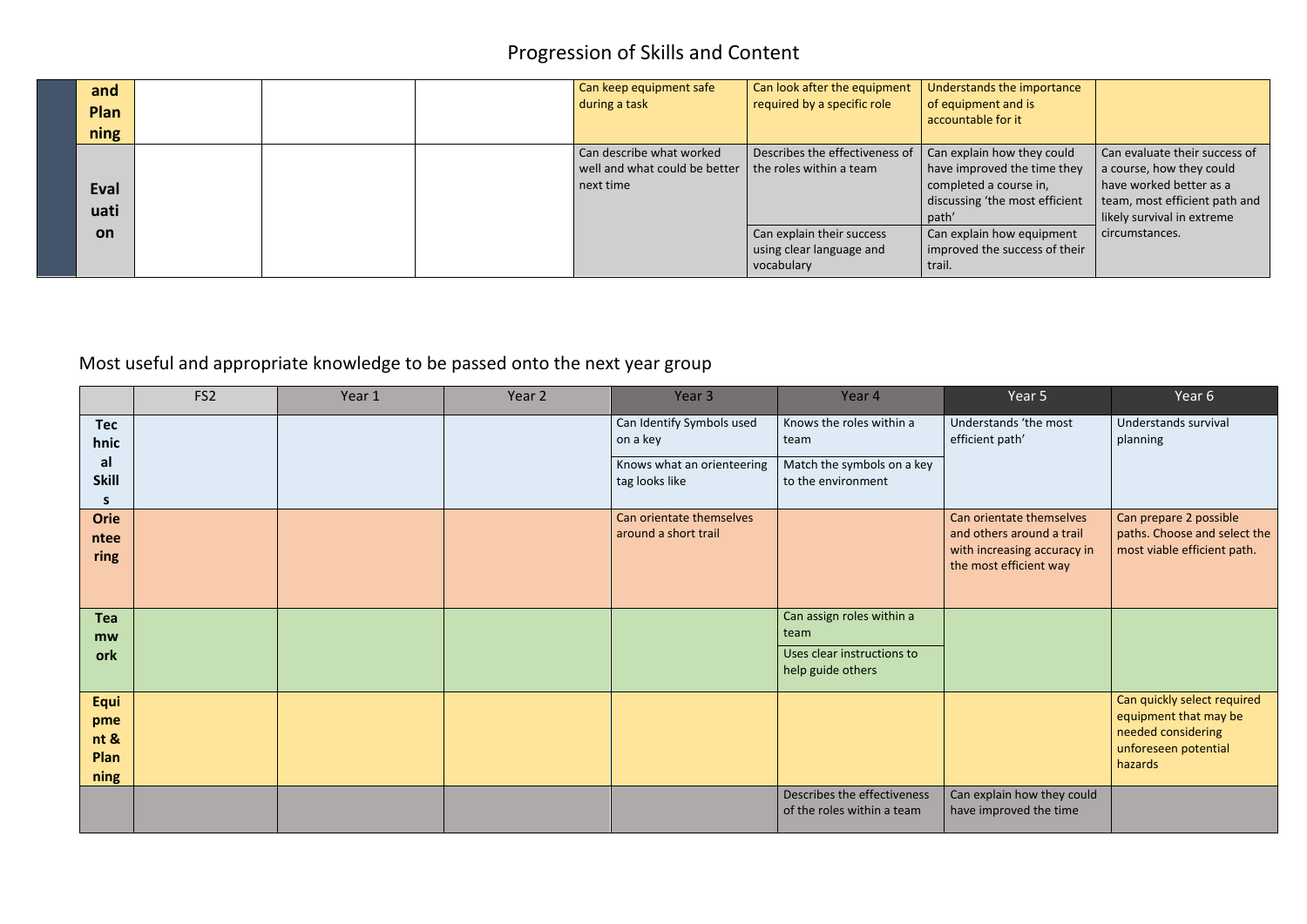| and<br><b>Plan</b><br>ning |  | Can keep equipment safe<br>during a task                               | Can look after the equipment<br>required by a specific role                                  | Understands the importance<br>of equipment and is<br>accountable for it                          |                                                                                                                                                     |
|----------------------------|--|------------------------------------------------------------------------|----------------------------------------------------------------------------------------------|--------------------------------------------------------------------------------------------------|-----------------------------------------------------------------------------------------------------------------------------------------------------|
| Eval<br>uati               |  | Can describe what worked<br>well and what could be better<br>next time | Describes the effectiveness of $\vert$ Can explain how they could<br>the roles within a team | have improved the time they<br>completed a course in,<br>discussing 'the most efficient<br>path' | Can evaluate their success of<br>a course, how they could<br>have worked better as a<br>team, most efficient path and<br>likely survival in extreme |
| on                         |  |                                                                        | Can explain their success<br>using clear language and<br>vocabulary                          | Can explain how equipment<br>improved the success of their<br>trail.                             | circumstances.                                                                                                                                      |

|                                                | FS <sub>2</sub> | Year 1 | Year 2 | Year 4<br>Year 3                                                                      |                                                                                      | Year 5                                                                                                         | Year 6                                                                                                        |
|------------------------------------------------|-----------------|--------|--------|---------------------------------------------------------------------------------------|--------------------------------------------------------------------------------------|----------------------------------------------------------------------------------------------------------------|---------------------------------------------------------------------------------------------------------------|
| <b>Tec</b><br>hnic<br>al<br><b>Skill</b><br>S. |                 |        |        | Can Identify Symbols used<br>on a key<br>Knows what an orienteering<br>tag looks like | Knows the roles within a<br>team<br>Match the symbols on a key<br>to the environment | Understands 'the most<br>efficient path'                                                                       | Understands survival<br>planning                                                                              |
| <b>Orie</b><br>ntee<br>ring                    |                 |        |        | Can orientate themselves<br>around a short trail                                      |                                                                                      | Can orientate themselves<br>and others around a trail<br>with increasing accuracy in<br>the most efficient way | Can prepare 2 possible<br>paths. Choose and select the<br>most viable efficient path.                         |
| <b>Tea</b><br>mw<br>ork                        |                 |        |        |                                                                                       | Can assign roles within a<br>team<br>Uses clear instructions to<br>help guide others |                                                                                                                |                                                                                                               |
| Equi<br>pme<br>nt &<br>Plan<br>ning            |                 |        |        |                                                                                       |                                                                                      |                                                                                                                | Can quickly select required<br>equipment that may be<br>needed considering<br>unforeseen potential<br>hazards |
|                                                |                 |        |        |                                                                                       | Describes the effectiveness<br>of the roles within a team                            | Can explain how they could<br>have improved the time                                                           |                                                                                                               |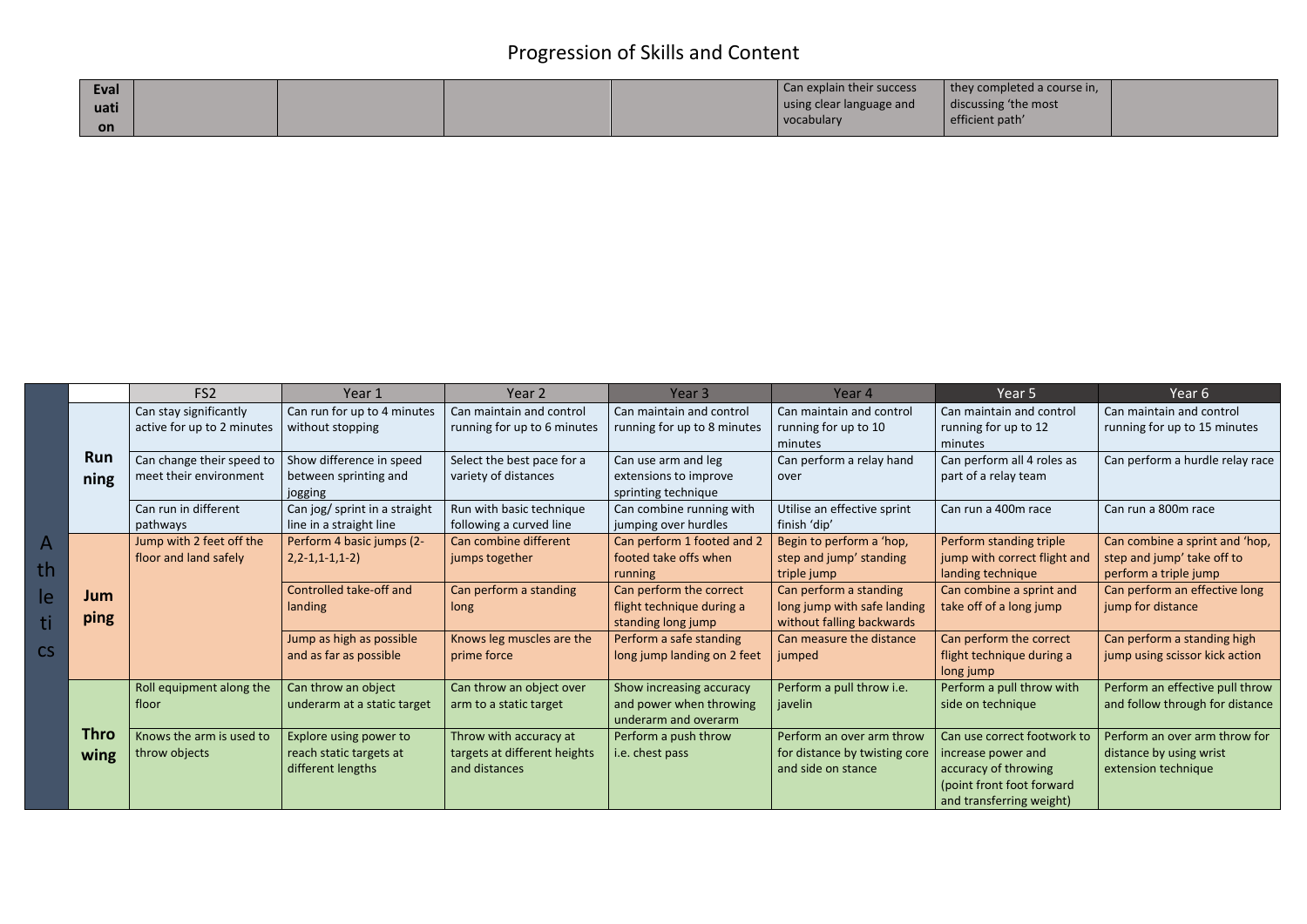| Eval         |  | Can explain their success | they completed a course in,             |  |
|--------------|--|---------------------------|-----------------------------------------|--|
| <b>Luati</b> |  | using clear language and  | discussing 'the most<br>efficient path' |  |
| on           |  | vocabulary                |                                         |  |

|                        |                     | FS <sub>2</sub>                                      | Year 1                                                                 | Year 2                                                                  | Year <sub>3</sub>                                                           | Year 4                                                                             | Year 5                                                                                                                             | Year 6                                                                                |
|------------------------|---------------------|------------------------------------------------------|------------------------------------------------------------------------|-------------------------------------------------------------------------|-----------------------------------------------------------------------------|------------------------------------------------------------------------------------|------------------------------------------------------------------------------------------------------------------------------------|---------------------------------------------------------------------------------------|
|                        |                     | Can stay significantly<br>active for up to 2 minutes | Can run for up to 4 minutes<br>without stopping                        | Can maintain and control<br>running for up to 6 minutes                 | Can maintain and control<br>running for up to 8 minutes                     | Can maintain and control<br>running for up to 10<br>minutes                        | Can maintain and control<br>running for up to 12<br>minutes                                                                        | Can maintain and control<br>running for up to 15 minutes                              |
|                        | Run<br>ning         | Can change their speed to<br>meet their environment  | Show difference in speed<br>between sprinting and<br>jogging           | Select the best pace for a<br>variety of distances                      | Can use arm and leg<br>extensions to improve<br>sprinting technique         | Can perform a relay hand<br>over                                                   | Can perform all 4 roles as<br>part of a relay team                                                                                 |                                                                                       |
|                        |                     | Can run in different<br>pathways                     | Can jog/ sprint in a straight<br>line in a straight line               | Run with basic technique<br>following a curved line                     | Can combine running with<br>jumping over hurdles                            | Utilise an effective sprint<br>finish 'dip'                                        | Can run a 400m race                                                                                                                | Can run a 800m race                                                                   |
| Α<br>th                |                     | Jump with 2 feet off the<br>floor and land safely    | Perform 4 basic jumps (2-<br>$2, 2 - 1, 1 - 1, 1 - 2)$                 | Can combine different<br>jumps together                                 | Can perform 1 footed and 2<br>footed take offs when<br>running              | Begin to perform a 'hop,<br>step and jump' standing<br>triple jump                 | Perform standing triple<br>jump with correct flight and<br>landing technique                                                       | Can combine a sprint and 'hop,<br>step and jump' take off to<br>perform a triple jump |
| le                     | Jum<br>ping         |                                                      | Controlled take-off and<br>landing                                     | Can perform a standing<br>long                                          | Can perform the correct<br>flight technique during a<br>standing long jump  | Can perform a standing<br>long jump with safe landing<br>without falling backwards | Can combine a sprint and<br>take off of a long jump                                                                                | Can perform an effective long<br>jump for distance                                    |
| $\overline{\text{CS}}$ |                     |                                                      | Jump as high as possible<br>and as far as possible                     | Knows leg muscles are the<br>prime force                                | Perform a safe standing<br>long jump landing on 2 feet                      | Can measure the distance<br>jumped                                                 | Can perform the correct<br>flight technique during a<br>long jump                                                                  | Can perform a standing high<br>jump using scissor kick action                         |
|                        |                     | Roll equipment along the<br>floor                    | Can throw an object<br>underarm at a static target                     | Can throw an object over<br>arm to a static target                      | Show increasing accuracy<br>and power when throwing<br>underarm and overarm | Perform a pull throw i.e.<br>javelin                                               | Perform a pull throw with<br>side on technique                                                                                     | Perform an effective pull throw<br>and follow through for distance                    |
|                        | <b>Thro</b><br>wing | Knows the arm is used to<br>throw objects            | Explore using power to<br>reach static targets at<br>different lengths | Throw with accuracy at<br>targets at different heights<br>and distances | Perform a push throw<br>i.e. chest pass                                     | Perform an over arm throw<br>for distance by twisting core<br>and side on stance   | Can use correct footwork to<br>increase power and<br>accuracy of throwing<br>(point front foot forward<br>and transferring weight) | Perform an over arm throw for<br>distance by using wrist<br>extension technique       |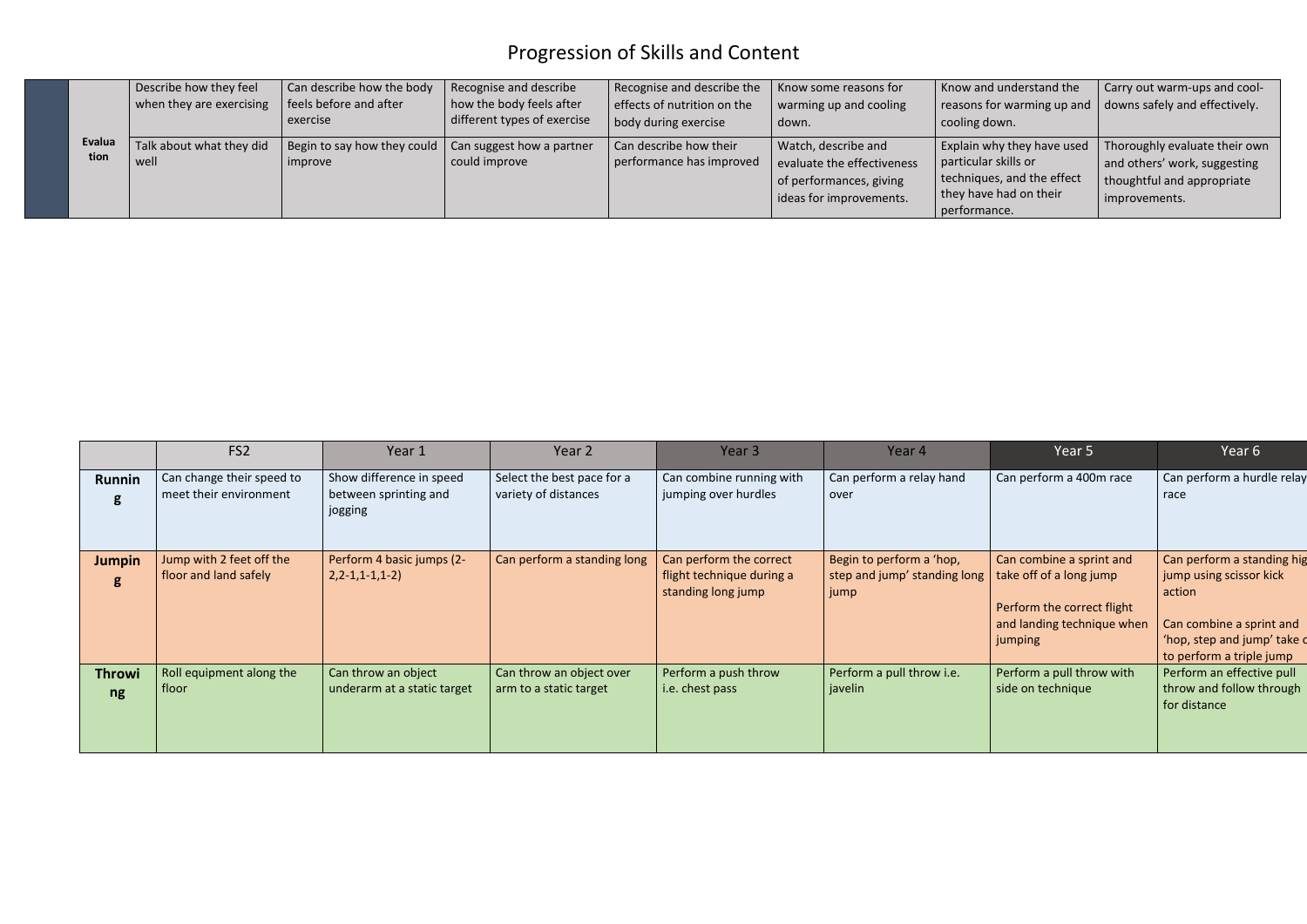|               | Describe how they feel   | Can describe how the body                                     | Recognise and describe      | Recognise and describe the  | Know some reasons for      | Know and understand the    | Carry out warm-ups and cool-                               |
|---------------|--------------------------|---------------------------------------------------------------|-----------------------------|-----------------------------|----------------------------|----------------------------|------------------------------------------------------------|
|               | when they are exercising | feels before and after                                        | how the body feels after    | effects of nutrition on the | warming up and cooling     |                            | reasons for warming up and   downs safely and effectively. |
|               |                          | exercise                                                      | different types of exercise | body during exercise        | down.                      | cooling down.              |                                                            |
| <b>Evalua</b> | Talk about what they did | Begin to say how they could $\vert$ Can suggest how a partner |                             | Can describe how their      | Watch, describe and        | Explain why they have used | Thoroughly evaluate their own                              |
| tion          | well                     | improve                                                       | could improve               | performance has improved    | evaluate the effectiveness | particular skills or       | and others' work, suggesting                               |
|               |                          |                                                               |                             |                             | of performances, giving    | techniques, and the effect | thoughtful and appropriate                                 |
|               |                          |                                                               |                             |                             | ideas for improvements.    | they have had on their     | improvements.                                              |
|               |                          |                                                               |                             |                             |                            | performance.               |                                                            |

|                     | FS <sub>2</sub>                                     | Year 1                                                       | Year 2                                             | Year <sub>3</sub>                                                          | Year 4                                                           | Year 5                                                                                                                     | Year 6                                                                                                                                                 |
|---------------------|-----------------------------------------------------|--------------------------------------------------------------|----------------------------------------------------|----------------------------------------------------------------------------|------------------------------------------------------------------|----------------------------------------------------------------------------------------------------------------------------|--------------------------------------------------------------------------------------------------------------------------------------------------------|
| Runnin<br>g         | Can change their speed to<br>meet their environment | Show difference in speed<br>between sprinting and<br>jogging | Select the best pace for a<br>variety of distances | Can combine running with<br>jumping over hurdles                           | Can perform a relay hand<br>over                                 | Can perform a 400m race                                                                                                    | Can perform a hurdle relay<br>race                                                                                                                     |
| <b>Jumpin</b><br>g  | Jump with 2 feet off the<br>floor and land safely   | Perform 4 basic jumps (2-<br>$2, 2 - 1, 1 - 1, 1 - 2)$       | Can perform a standing long                        | Can perform the correct<br>flight technique during a<br>standing long jump | Begin to perform a 'hop,<br>step and jump' standing long<br>jump | Can combine a sprint and<br>take off of a long jump<br>Perform the correct flight<br>and landing technique when<br>jumping | Can perform a standing hig<br>jump using scissor kick<br>action<br>Can combine a sprint and<br>'hop, step and jump' take o<br>to perform a triple jump |
| <b>Throwi</b><br>ng | Roll equipment along the<br>floor                   | Can throw an object<br>underarm at a static target           | Can throw an object over<br>arm to a static target | Perform a push throw<br>i.e. chest pass                                    | Perform a pull throw i.e.<br>javelin                             | Perform a pull throw with<br>side on technique                                                                             | Perform an effective pull<br>throw and follow through<br>for distance                                                                                  |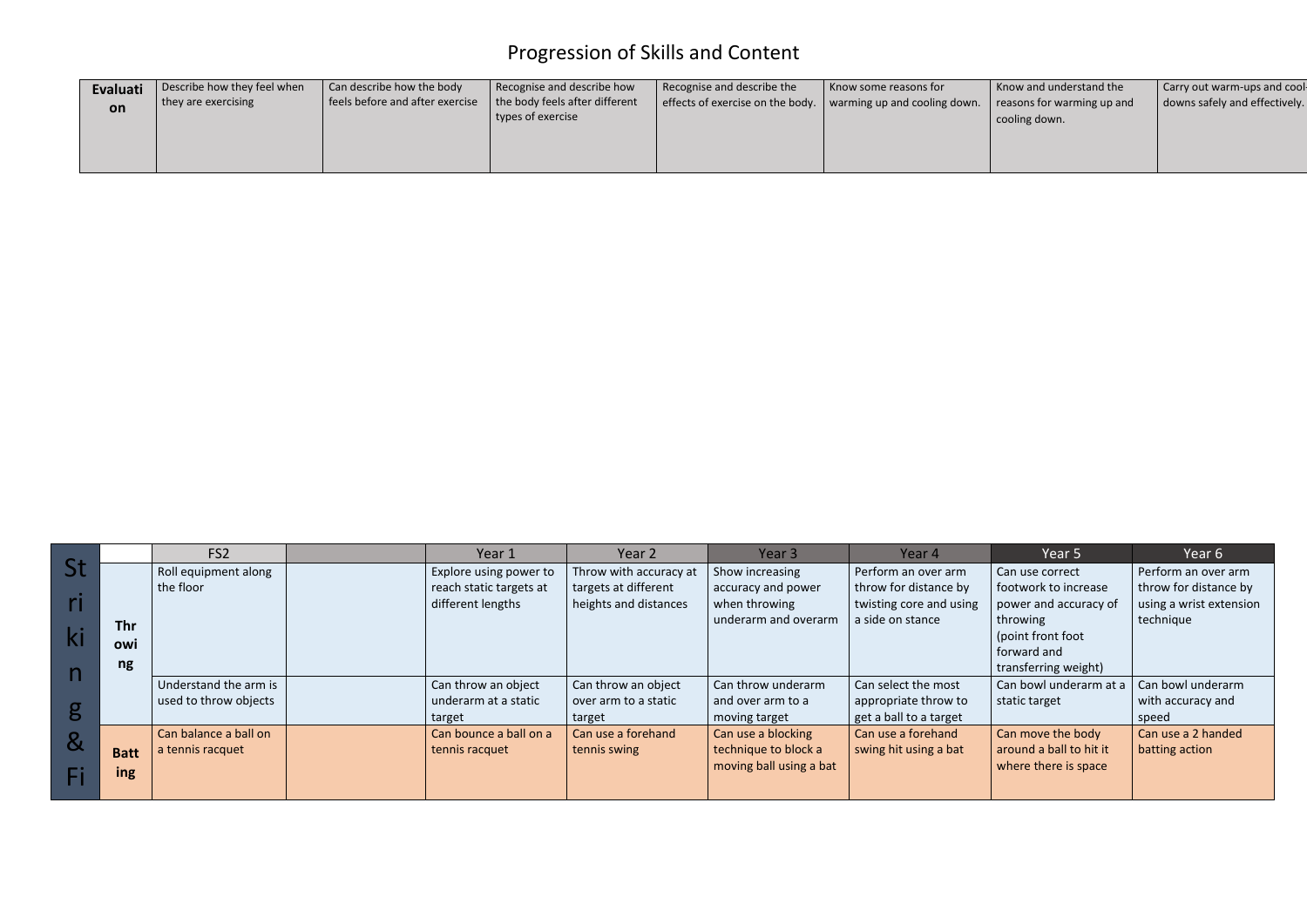| Evaluati<br>on | Describe how they feel when<br>they are exercising | Can describe how the body<br>feels before and after exercise | Recognise and describe how<br>the body feels after different<br>types of exercise | Recognise and describe the<br>$\vert$ effects of exercise on the body. $\vert$ | Know some reasons for<br>warming up and cooling down. | Know and understand the<br>reasons for warming up and<br>cooling down. | Carry out warm-ups and cool-<br>downs safely and effectively. |
|----------------|----------------------------------------------------|--------------------------------------------------------------|-----------------------------------------------------------------------------------|--------------------------------------------------------------------------------|-------------------------------------------------------|------------------------------------------------------------------------|---------------------------------------------------------------|
|----------------|----------------------------------------------------|--------------------------------------------------------------|-----------------------------------------------------------------------------------|--------------------------------------------------------------------------------|-------------------------------------------------------|------------------------------------------------------------------------|---------------------------------------------------------------|

|           |             | FS <sub>2</sub>       | Year 1                  | Year 2                 | Year <sub>3</sub>       | Year 4                  | Year 5                  | Year 6                  |
|-----------|-------------|-----------------------|-------------------------|------------------------|-------------------------|-------------------------|-------------------------|-------------------------|
| <b>St</b> |             | Roll equipment along  | Explore using power to  | Throw with accuracy at | Show increasing         | Perform an over arm     | Can use correct         | Perform an over arm     |
|           |             | the floor             | reach static targets at | targets at different   | accuracy and power      | throw for distance by   | footwork to increase    | throw for distance by   |
|           |             |                       | different lengths       | heights and distances  | when throwing           | twisting core and using | power and accuracy of   | using a wrist extension |
|           | Thr         |                       |                         |                        | underarm and overarm    | a side on stance        | throwing                | technique               |
| ki        | owi         |                       |                         |                        |                         |                         | point front foot        |                         |
|           |             |                       |                         |                        |                         |                         | forward and             |                         |
|           | ng          |                       |                         |                        |                         |                         | transferring weight)    |                         |
|           |             | Understand the arm is | Can throw an object     | Can throw an object    | Can throw underarm      | Can select the most     | Can bowl underarm at a  | Can bowl underarm       |
|           |             | used to throw objects | underarm at a static    | over arm to a static   | and over arm to a       | appropriate throw to    | static target           | with accuracy and       |
| g         |             |                       | target                  | target                 | moving target           | get a ball to a target  |                         | speed                   |
| 8         |             | Can balance a ball on | Can bounce a ball on a  | Can use a forehand     | Can use a blocking      | Can use a forehand      | Can move the body       | Can use a 2 handed      |
|           | <b>Batt</b> | a tennis racquet      | tennis racquet          | tennis swing           | technique to block a    | swing hit using a bat   | around a ball to hit it | batting action          |
|           | ing         |                       |                         |                        | moving ball using a bat |                         | where there is space    |                         |
|           |             |                       |                         |                        |                         |                         |                         |                         |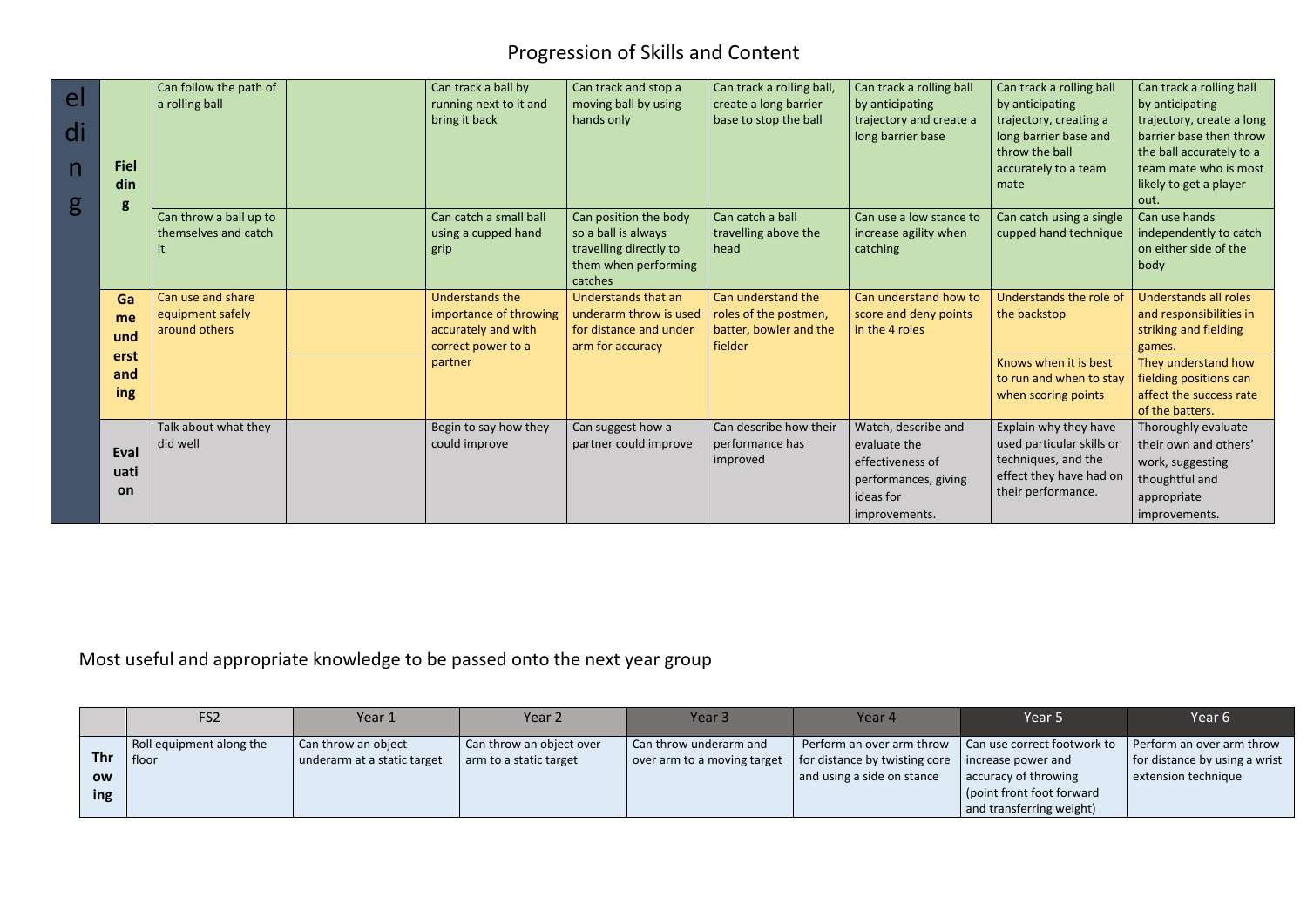| el<br>di<br>$\overline{\mathsf{n}}$<br>g | <b>Fiel</b><br>din<br>g | Can follow the path of<br>a rolling ball               | Can track a ball by<br>running next to it and<br>bring it back                         | Can track and stop a<br>moving ball by using<br>hands only                                                | Can track a rolling ball,<br>create a long barrier<br>base to stop the ball      | Can track a rolling ball<br>by anticipating<br>trajectory and create a<br>long barrier base                   | Can track a rolling ball<br>by anticipating<br>trajectory, creating a<br>long barrier base and<br>throw the ball<br>accurately to a team<br>mate | Can track a rolling ball<br>by anticipating<br>trajectory, create a long<br>barrier base then throw<br>the ball accurately to a<br>team mate who is most<br>likely to get a player<br>out. |
|------------------------------------------|-------------------------|--------------------------------------------------------|----------------------------------------------------------------------------------------|-----------------------------------------------------------------------------------------------------------|----------------------------------------------------------------------------------|---------------------------------------------------------------------------------------------------------------|--------------------------------------------------------------------------------------------------------------------------------------------------|--------------------------------------------------------------------------------------------------------------------------------------------------------------------------------------------|
|                                          |                         | Can throw a ball up to<br>themselves and catch         | Can catch a small ball<br>using a cupped hand<br>grip                                  | Can position the body<br>so a ball is always<br>travelling directly to<br>them when performing<br>catches | Can catch a ball<br>travelling above the<br>head                                 | Can use a low stance to<br>increase agility when<br>catching                                                  | Can catch using a single<br>cupped hand technique                                                                                                | Can use hands<br>independently to catch<br>on either side of the<br>body                                                                                                                   |
|                                          | Ga<br>me<br>und<br>erst | Can use and share<br>equipment safely<br>around others | Understands the<br>importance of throwing<br>accurately and with<br>correct power to a | Understands that an<br>underarm throw is used<br>for distance and under<br>arm for accuracy               | Can understand the<br>roles of the postmen,<br>batter, bowler and the<br>fielder | Can understand how to<br>score and deny points<br>in the 4 roles                                              | Understands the role of<br>the backstop                                                                                                          | <b>Understands all roles</b><br>and responsibilities in<br>striking and fielding<br>games.                                                                                                 |
|                                          | and<br>ing              |                                                        | partner                                                                                |                                                                                                           |                                                                                  |                                                                                                               | Knows when it is best<br>to run and when to stay<br>when scoring points                                                                          | They understand how<br>fielding positions can<br>affect the success rate<br>of the batters.                                                                                                |
|                                          | Eval<br>uati<br>on      | Talk about what they<br>did well                       | Begin to say how they<br>could improve                                                 | Can suggest how a<br>partner could improve                                                                | Can describe how their<br>performance has<br>improved                            | Watch, describe and<br>evaluate the<br>effectiveness of<br>performances, giving<br>ideas for<br>improvements. | Explain why they have<br>used particular skills or<br>techniques, and the<br>effect they have had on<br>their performance.                       | Thoroughly evaluate<br>their own and others'<br>work, suggesting<br>thoughtful and<br>appropriate<br>improvements.                                                                         |

|                                | FS <sub>2</sub>                   | Year 1                                             | Year 2                                             | Year <sub>3</sub>                                                                                   | Year 4                                                  | Year 5                                                                                                                              | Year 6                                                                            |
|--------------------------------|-----------------------------------|----------------------------------------------------|----------------------------------------------------|-----------------------------------------------------------------------------------------------------|---------------------------------------------------------|-------------------------------------------------------------------------------------------------------------------------------------|-----------------------------------------------------------------------------------|
| <b>Thr</b><br><b>OW</b><br>ing | Roll equipment along the<br>floor | Can throw an object<br>underarm at a static target | Can throw an object over<br>arm to a static target | Can throw underarm and<br>$\vert$ over arm to a moving target $\vert$ for distance by twisting core | Perform an over arm throw<br>and using a side on stance | Can use correct footwork to<br>increase power and<br>accuracy of throwing<br>(point front foot forward)<br>and transferring weight) | Perform an over arm throw<br>for distance by using a wrist<br>extension technique |